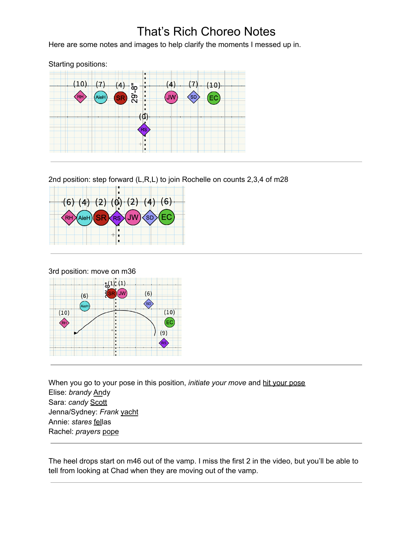## That's Rich Choreo Notes

Here are some notes and images to help clarify the moments I messed up in.

Starting positions:  $(10)$  $(7)$  $(4)$  $(7)$  $(10)$  $(4)$ ္စြ  $\overline{8}$ RH ั้งพ **SD** ĒС (d)

2nd position: step forward (L,R,L) to join Rochelle on counts 2,3,4 of m28





When you go to your pose in this position, *initiate your move* and hit your pose Elise: *brandy* Andy Sara: *candy* Scott Jenna/Sydney: *Frank* yacht Annie: *stares* fellas Rachel: *prayers* pope

 $(9)$ 

The heel drops start on m46 out of the vamp. I miss the first 2 in the video, but you'll be able to tell from looking at Chad when they are moving out of the vamp.